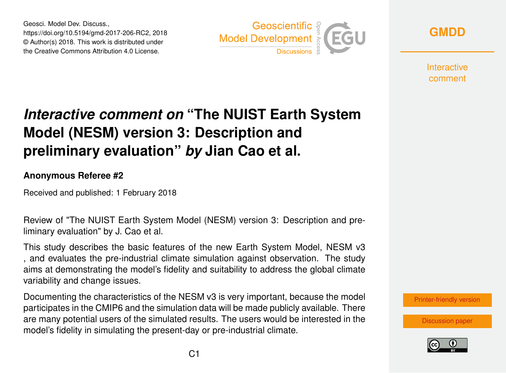Geosci. Model Dev. Discuss., https://doi.org/10.5194/gmd-2017-206-RC2, 2018 © Author(s) 2018. This work is distributed under the Creative Commons Attribution 4.0 License.



**[GMDD](https://www.geosci-model-dev-discuss.net/)**

**Interactive** comment

## *Interactive comment on* **"The NUIST Earth System Model (NESM) version 3: Description and preliminary evaluation"** *by* **Jian Cao et al.**

## **Anonymous Referee #2**

Received and published: 1 February 2018

Review of "The NUIST Earth System Model (NESM) version 3: Description and preliminary evaluation" by J. Cao et al.

This study describes the basic features of the new Earth System Model, NESM v3 , and evaluates the pre-industrial climate simulation against observation. The study aims at demonstrating the model's fidelity and suitability to address the global climate variability and change issues.

Documenting the characteristics of the NESM v3 is very important, because the model participates in the CMIP6 and the simulation data will be made publicly available. There are many potential users of the simulated results. The users would be interested in the model's fidelity in simulating the present-day or pre-industrial climate.



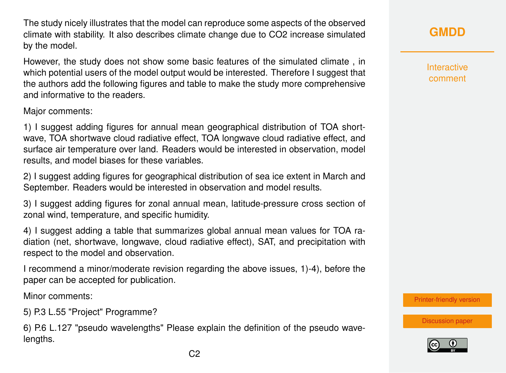The study nicely illustrates that the model can reproduce some aspects of the observed climate with stability. It also describes climate change due to CO2 increase simulated by the model.

However, the study does not show some basic features of the simulated climate , in which potential users of the model output would be interested. Therefore I suggest that the authors add the following figures and table to make the study more comprehensive and informative to the readers.

Major comments:

1) I suggest adding figures for annual mean geographical distribution of TOA shortwave, TOA shortwave cloud radiative effect, TOA longwave cloud radiative effect, and surface air temperature over land. Readers would be interested in observation, model results, and model biases for these variables.

2) I suggest adding figures for geographical distribution of sea ice extent in March and September. Readers would be interested in observation and model results.

3) I suggest adding figures for zonal annual mean, latitude-pressure cross section of zonal wind, temperature, and specific humidity.

4) I suggest adding a table that summarizes global annual mean values for TOA radiation (net, shortwave, longwave, cloud radiative effect), SAT, and precipitation with respect to the model and observation.

I recommend a minor/moderate revision regarding the above issues, 1)-4), before the paper can be accepted for publication.

Minor comments:

5) P.3 L.55 "Project" Programme?

6) P.6 L.127 "pseudo wavelengths" Please explain the definition of the pseudo wavelengths.

**[GMDD](https://www.geosci-model-dev-discuss.net/)**

Interactive comment

[Printer-friendly version](https://www.geosci-model-dev-discuss.net/gmd-2017-206/gmd-2017-206-RC2-print.pdf)

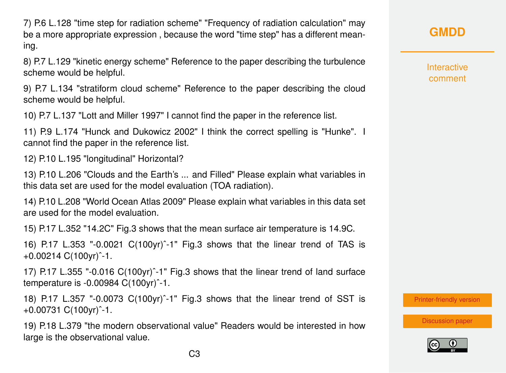7) P.6 L.128 "time step for radiation scheme" "Frequency of radiation calculation" may be a more appropriate expression , because the word "time step" has a different meaning.

8) P.7 L.129 "kinetic energy scheme" Reference to the paper describing the turbulence scheme would be helpful.

9) P.7 L.134 "stratiform cloud scheme" Reference to the paper describing the cloud scheme would be helpful.

10) P.7 L.137 "Lott and Miller 1997" I cannot find the paper in the reference list.

11) P.9 L.174 "Hunck and Dukowicz 2002" I think the correct spelling is "Hunke". I cannot find the paper in the reference list.

12) P.10 L.195 "longitudinal" Horizontal?

13) P.10 L.206 "Clouds and the Earth's ... and Filled" Please explain what variables in this data set are used for the model evaluation (TOA radiation).

14) P.10 L.208 "World Ocean Atlas 2009" Please explain what variables in this data set are used for the model evaluation.

15) P.17 L.352 "14.2C" Fig.3 shows that the mean surface air temperature is 14.9C.

16) P.17 L.353 "-0.0021 C(100yr)ˆ-1" Fig.3 shows that the linear trend of TAS is +0.00214 C(100yr)ˆ-1.

17) P.17 L.355 "-0.016 C(100yr)ˆ-1" Fig.3 shows that the linear trend of land surface temperature is -0.00984 C(100yr)ˆ-1.

18) P.17 L.357 "-0.0073 C(100yr)ˆ-1" Fig.3 shows that the linear trend of SST is +0.00731 C(100yr)ˆ-1.

19) P.18 L.379 "the modern observational value" Readers would be interested in how large is the observational value.

**[GMDD](https://www.geosci-model-dev-discuss.net/)**

Interactive comment

[Printer-friendly version](https://www.geosci-model-dev-discuss.net/gmd-2017-206/gmd-2017-206-RC2-print.pdf)